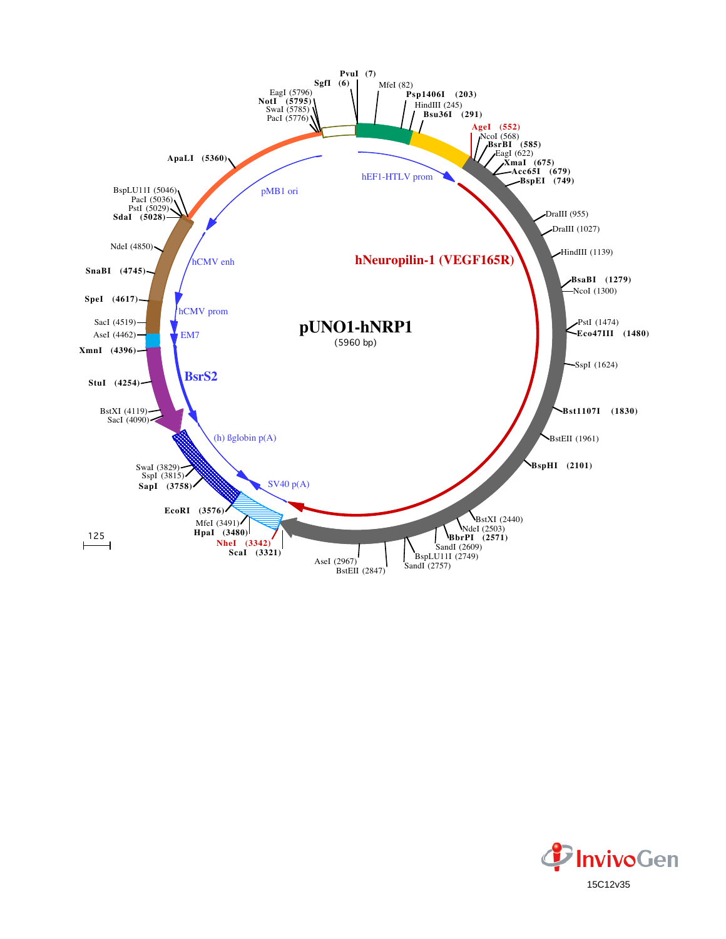

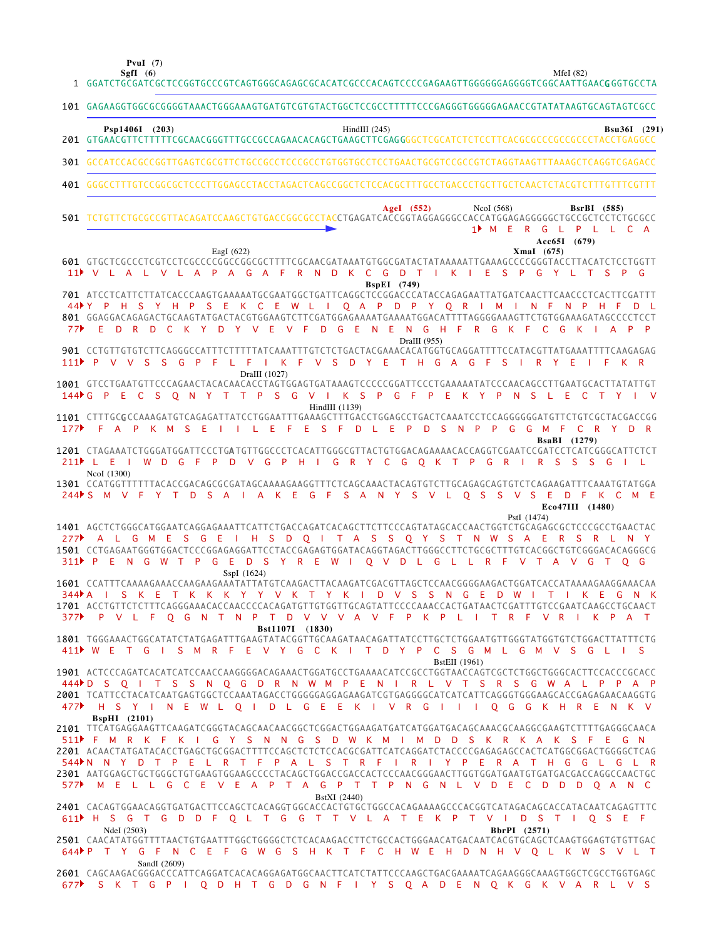**SgfI (6) PvuI (7)**

MfeI (82)

|     | 1 GGATCTGCGATCGCTCCGGTGCCCGTCAGTGGGCAGAGCGCACATCGCCCACAGTCCCCGAGAAGTTGGGGGGAGGGGTCGGCAATTGAACGGGTGCCTA                                                                                                                                                                                                                                                                                                                                               |
|-----|------------------------------------------------------------------------------------------------------------------------------------------------------------------------------------------------------------------------------------------------------------------------------------------------------------------------------------------------------------------------------------------------------------------------------------------------------|
|     | 101 GAGAAGGTGGCGCGGGGTAAACTGGGAAAGTGATGTCGTGTACTGGCTCCGCCTTTTTCCCGAGGGTGGGGAGAACCGTATATAAGTGCAGTAGTCGCC                                                                                                                                                                                                                                                                                                                                              |
|     | Psp1406I (203)<br>HindIII $(245)$<br>Bsu36I (291)                                                                                                                                                                                                                                                                                                                                                                                                    |
|     | 301 GCCATCCACGCCGGTTGAGTCGCGTTCTGCCGCCTCCCGCCTGTGGTGCCTCCTGAACTGCGTCCGCCGTCTAGGTAAGTTTAAAGCTCAGGTCGAGACC                                                                                                                                                                                                                                                                                                                                             |
|     |                                                                                                                                                                                                                                                                                                                                                                                                                                                      |
|     | AgeI $(552)$<br>NcoI $(568)$<br><b>BsrBI</b> (585)<br>501 TCTGTTCTGCGCCGTTACAGATCCAAGCTGTGACCGGCGCCTACCTGAGATCACCGGTAGGAGGCCCACCATGGAGAGGGGCTGCCGCTCCTCTGCGCC<br>1 <sup>t</sup> M E R G L P L L C A<br>Acc65I (679)                                                                                                                                                                                                                                  |
|     | EagI $(622)$<br>Xmal (675)<br>601 GTGCTCGCCCTCGTCCTCGCCCCGGCCGGCGTTTTCGCAACGATAAATGTGGCGATACTATAAAAATTGAAAGCCCCGGGTACCTTACATCTCCTGGTT<br>R N D K C G D T I K I E S P G Y L T<br>11 V L A L V L A P A G A F<br>S P G<br><b>BspEI</b> (749)                                                                                                                                                                                                            |
|     | 701 ATCCTCATTCTTATCACCCAAGTGAAAAATGCGAATGGCTGATTCAGGCTCCGGACCCATACCAGAGAATTATGATCAACTTCAACCCTCACTTCGATTT<br>44 Y P H S Y H P S E K C E W L I O A P D P Y O R I M I N F<br>N P H F<br>801 GGAGGACAGAGACTGCAAGTATGACTACGTGGAAGTCTTCGATGGAGAAAATGAAAATGGACATTTTAGGGGAAAGTTCTGTGGAAAGATAGCCCCTCCT<br>D R D C K Y D Y V E V F D G E N E N G H F R G K F C<br>G K I<br>DraIII (955)                                                                        |
|     | 901 CCTGTTGTGTCTTCAGGGCCATTTCTTTTTATCAAATTTGTCTCTGACTACGAAACACATGGTGCAGGATTTTCCATACGTTATGAAATTTTCAAGAGAG<br>I K F V S D Y E T H G A G F S I R Y E<br>111 P V V S S G P F L F<br>K R<br>- L F<br>DraIII (1027)                                                                                                                                                                                                                                        |
|     | 1001 GTCCTGAATGTTCCCAGAACTACACAACACCTAGTGGAGTGATAAAGTCCCCCGGATTCCCTGAAAAATATCCCAACAGCCTTGAATGCACTTATATTGT<br>144 G P E C S Q N Y T T P S G V I K S P G F P E K Y P N S L E C T Y I V<br>HindIII (1139)                                                                                                                                                                                                                                               |
| 177 | 1101 CTTTGCGCCAAAGATGTCAGAGATTATCCTGGAATTTGAAAGCTTTGACCTGGAGCCTGACTCAAATCCTCCAGGGGGGATGTTCTGTCGCTACGACCGG<br>L E F E S F D L E P<br>D S N P P G G M F<br>F A P K M S<br>C R Y D R<br>- E<br><b>BsaBI</b> (1279)                                                                                                                                                                                                                                      |
|     | 1201 CTAGAAATCTGGGATGGATTCCCTGATGTTGGCCCTCACATTGGGCGTTACTGTGGACAGAAAACACCAGGTCGAATCCGATCCTCATCGGGCATTCTCT<br>I W D G F P D V G P H I G R Y C G O K T P G R I R S S S G I L<br>$211$ L E<br>NcoI (1300)                                                                                                                                                                                                                                               |
|     | 1301 CCATGGTTTTTTACACCGACAGCGCGATAGCAAAAGAAGGTTTCTCAGCAAACTACAGTGTCTTGCAGAGCAGTGTCTCAGAAGATTTCAAATGTATGGA<br>244 S M V F Y T D S A I A K E G F S A N Y S V L O S S V S E D F K C M E<br>Eco47III (1480)<br>PstI (1474)                                                                                                                                                                                                                               |
|     | 1401 AGCTCTGGGCATGGAATCAGGAGAAATTCATTCTGACCAGATCACAGCTTCTTCCCAGTATAGCACCAACTGGTCTGCAGAGCGCTCCCGCCTGAACTAC<br>277 A L G M E S G E I H S D O I T A S S O Y S T N W S A E R S R L N Y<br>1501 CCTGAGAATGGGTGGACTCCCGGAGAGGATTCCTACCGAGAGTGGATACAGGTAGACTTGGGCCTTCTGCGCTTTGTCACGGCTGTCGGGACACAGGGCG<br>311 PENGWTPGED SYREWIOVDLGLLRFVTAVGTOG<br>SspI (1624)                                                                                             |
|     | 1601 CCATTTCAAAAGAAACCAAGAAGAAATATTATGTCAAGACTTACAAGATCGACGTTAGCTCCAACGGGGAAGACTGGATCACCATAAAAGAAGGAAACAA<br>344MAI S K E T K K K Y Y V K T Y K I D V S S N G E D W I T I K E G N K<br>1701 ACCTGTTCTCTTTCAGGGAAACACCAACCCCACAGATGTTGTGGTTGCAGTATTCCCCAAACCACTGATAACTCGATTTGTCCGAATCAAGCCTGCAACT<br>377 P V L F Q G N T N P T D V V V A V F P K P L I T R F V R I K P A T                                                                            |
|     | Bst1107I (1830)<br>1801 TGGGAAACTGGCATATCTATGAGATTTGAAGTATACGGTTGCAAGATAACAGATTATCCTTGCTCTGGAATGTTGGGTATGGTGTCTGGACTTATTTCTG<br>411 WET GISMRFEVY GCK I TDYPCS GML GMVS GLIS<br><b>BstEII</b> (1961)                                                                                                                                                                                                                                                 |
|     | 444 D S O I T S S N O G D R N W M P E N I R L V T S R S G W A L P P A P<br>2001 TCATTCCTACATCAATGAGTGGCTCCAAATAGACCTGGGGGGAGGAAGATCGTGAGGGGCATCATCATTCAGGGTGGGAAGCACCGAGAGAACAAGGTG<br>477▶ H S Y I N E W L O I D L G E E K I V R G I I I O G G K H R E N K V<br><b>BspHI</b> (2101)                                                                                                                                                                 |
|     | 2101 TTCATGAGGAAGTTCAAGATCGGGTACAGCAACAACGGCTCGGACTGGAAGATGATCATGGATGACAGCAAACGCAAGGCGAAGTCTTTTGAGGGCAACA<br>511▶ F M R K F K I G Y S N N G S D W K M I M D D S K R K A K S F E G N<br>2201 ACAACTATGATACACCTGAGCTGCGGACTTTTCCAGCTCTCTCCACGCGATTCATCAGGATCTACCCCGAGAGAGCCACTCATGGCGGACTGGGGCTCAG<br>544 N N Y D T P E L R T F P A L S T R F I R I Y P E R A T H G G L G L R<br>577 M E L L G C E V E A P T A G P T T P N G N L V D E C D D D O A N C |
|     | BstXI (2440)<br>2401 CACAGTGGAACAGGTGATGACTTCCAGCTCACAGGTGGCACCACTGTGCTGGCCACAGAAAAGCCCACGGTCATAGACAGCACCATACAATCAGAGTTTC<br>611 H S G T G D D F O L T G G T T V L A T E K P T V I D S T I O S E F<br>NdeI (2503)<br>BbrPI (2571)<br>2501 CAACATATGGTTTTAACTGTGAATTTGGCTGGGGCTCTCACAAGACCTTCTGCCACTGGGAACATGACAATCACGTGCAGCTCAAGTGGAGTGTGTTGAC<br>644 P T Y G F N C E F G W G S H K T F C H W E H D N H V Q L K W S V L T                            |
|     | SandI (2609)<br>2601 CAGCAAGACGGGACCCATTCAGGATCACACAGGAGATGGCAACTTCATCTATTCCCAAGCTGACGAAAATCAGAAGGGCAAAGTGGCTCGCCTGGTGAGC<br>677 SKT GPI Q DHT GD G N FI Y S Q A D E N Q K G K V A R L V S                                                                                                                                                                                                                                                           |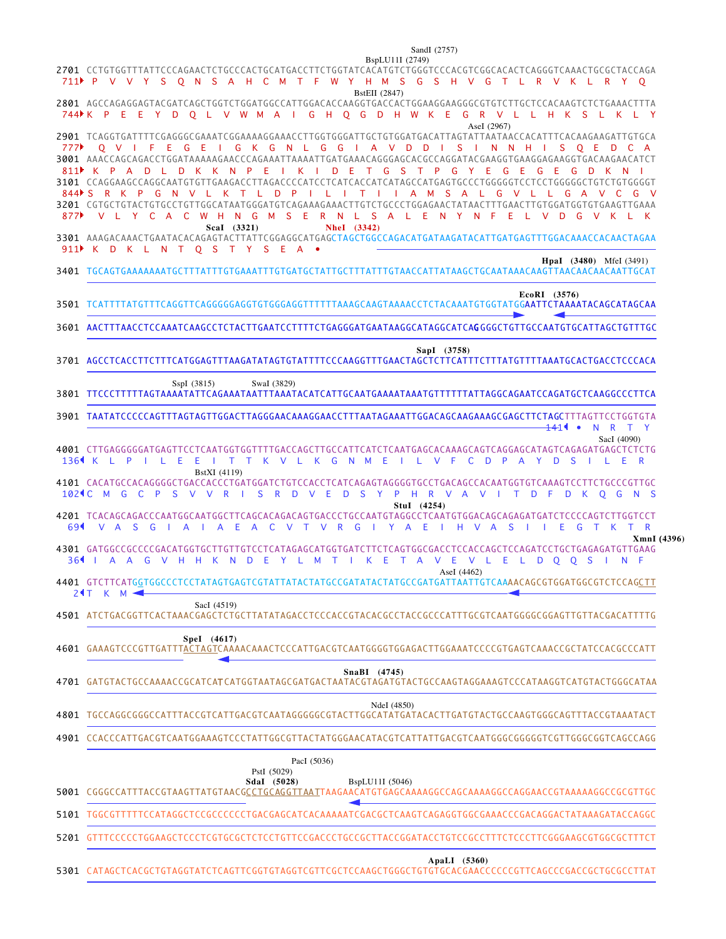2701 CCTGTGGTTTATTCCCAGAACTCTGCCCACTGCATGACCTTCTGGTATCACATGTCTGGGTCCCACGTCGGCACACTCAGGGTCAAACTGCGCTACCAGA AGCCAGAGGAGTACGATCAGCTGGTCTGGATGGCCATTGGACACCAAGGTGACCACTGGAAGGAAGGGCGTGTCTTGCTCCACAAGTCTCTGAAACTTTA 2801 2901 TCAGGTGATTTTCGAGGGCGAAATCGGAAAAGGAAACCTTGGTGGGATTGCTGTGGATGACATTAGTATTAATAACCACATTTCACAAGAAGATTGTGCA 3001 AAACCAGCAGACCTGGATAAAAAGAACCCAGAAATTAAAATTGATGAAACAGGGAGCACGCCAGGATACGAAGGTGAAGGAGAAGGTGACAAGAACATCT CCAGGAAGCCAGGCAATGTGTTGAAGACCTTAGACCCCATCCTCATCACCATCATAGCCATGAGTGCCCTGGGGGTCCTCCTGGGGGCTGTCTGTGGGGT 3101 CGTGCTGTACTGTGCCTGTTGGCATAATGGGATGTCAGAAAGAAACTTGTCTGCCCTGGAGAACTATAACTTTGAACTTGTGGATGGTGTGAAGTTGAAA 3201 AAAGACAAACTGAATACACAGAGTACTTATTCGGAGGCATGAGCTAGCTGGCCAGACATGATAAGATACATTGATGAGTTTGGACAAACCACAACTAGAA 3301 3401 TGCAGTGAAAAAAATGCTTTATTTGTGAAATTTGTGATGCTATTGCTTTATTTGTAACCATTATAAGCTGCAATAAACAAGTTAACAACAACAATTGCAT 3501 TCATTTTATGTTTCAGGTTCAGGGGGGAGGTGTGGGAGGTTTTTTAAAGCAAGTAAAACCTCTACAAATGTGGTATGG**AATTCTAAAATACAGCATAGCAA** 3601 AACTTTAACCTCCAAATCAAGCCTCTACTTGAATCCTTTTCTGAGGGATGAATAAGGCATAGGCATCA**G**GGGCTGTTGCCAATGTGCATTAGCTGTTTGC 3701 AGCCTCACCTTCTTTCATGGAGTTTAAGATATAGTGTATTTTCCCAAGGTTTGAACTAGCTCTTCATTTCTTTATGTTTTAAATGCACTGACCTCCCACA TTCCCTTTTTAGTAAAATATTCAGAAATAATTTAAATACATCATTGCAATGAAAATAAATGTTTTTTATTAGGCAGAATCCAGATGCTCAAGGCCCTTCA 3801 3901 TAATATCCCCCAGTTTAGTAGTTGGACTTAGGGAACAAAGGAACCTTTAATAGAAATTGGACAGCAAGAAAGCGAGCTTCTAGCTTTAGTTCCTGGTGTA CTTGAGGGGGATGAGTTCCTCAATGGTGGTTTTGACCAGCTTGCCATTCATCTCAATGAGCACAAAGCAGTCAGGAGCATAGTCAGAGATGAGCTCTCTG 4001 4101 CACATGCCACAGGGGCTGACCACCCTGATGGATCTGTCCACCTCATCAGAGTAGGGGTGCCTGACAGCCACAATGGTGTCAAAGTCCTTCTGCCCGTTGC TCACAGCAGACCCAATGGCAATGGCTTCAGCACAGACAGTGACCCTGCCAATGTAGGCCTCAATGTGGACAGCAGAGATGATCTCCCCAGTCTTGGTCCT 4201 4301 GATGGCCGCCCCGACATGGTGCTTGTTGTCCTCATAGAGCATGGTGATCTTCTCAGTGGCGACCTCCACCAGCTCCAGATCCTGCTGAGAGATGTTGAAG 4401 GTCTTCATG<u>G</u>TGGCCCTCCTATAGTGAGTCGTATTATACTATGCCGATATACTATGCCGATGATTAATTGTCAAAACAGCGTGGATGGCGTCTCCAG<u>CTT</u> ATCTGACGGTTCACTAAACGAGCTCTGCTTATATAGACCTCCCACCGTACACGCCTACCGCCCATTTGCGTCAATGGGGCGGAGTTGTTACGACATTTTG 4501 4601 GAAAGTCCCGTTGATTT<u>ACTAGT</u>CAAAACAAACTCCCATTGACGTCAATGGGGTGGAGACTTGGAAATCCCCGTGAGTCAAACCGCTATCCACGCCCATT 4701 GATGTACTGCCAAAACCGCATCATCATGGTAATAGCGATGACTAATACGTAGATGTACTGCCAAGTAGGAAAGTCCCATAAGGTCATGTACTGGGCATAA 4801 TGCCAGGCGGGCCATTTACCGTCATTGACGTCAATAGGGGGCGTACTTGGCATATGATACACTTGATGTACTGCCAAGTGGGCAGTTTACCGTAAATACT CCACCCATTGACGTCAATGGAAAGTCCCTATTGGCGTTACTATGGGAACATACGTCATTATTGACGTCAATGGGCGGGGGTCGTTGGGCGGTCAGCCAGG 4901 5001 CGGGCCATTTACCGTAAGTTATGTAACG<u>CCTGCAGGTTAAT</u>TAAGAACATGTGAGCAAAAGGCCAGCAAAAGGCCAGGAACCGTAAAAAGGCCGCGTTGC 5101 TGGCGTTTTTCCATAGGCTCCGCCCCCCTGACGAGCATCACAAAAATCGACGCTCAAGTCAGAGGTGGCGAAACCCGACAGGACTATAAAGATACCAGGC • N R T Y K L P I L E E I T T K V L K G N M E I L V F C D P A Y D S I L E R 136 102¶ C M G C P S V V R I S R D V E D S Y P H R V A V I T D F D K Q G N S V A S G I A I A E A C V T V R G I Y A E I H V A S I I E G T K T R 6 9 364 I A A G V H H K N D E Y L M T I K E T A V E V L E L D Q Q S I N F 24T K M P V V Y S Q N S A H C M T F W Y H M S G S H V G T L R V K L R Y Q 711 744NK PEEY DQLVW MAIGHQG DHW KEGR V LLHK SLKLY Q V I F E G E I G K G N L G G I A V D D I S I N N H I S Q E D C A 777 K P A D L D K K N P E I K I D E T G S T P G Y E G E G E G D K N I 811 844NS R K P G N V L K T L D P I L I T I I A M S A L G V L L G A V C G V V L Y C A C W H N G M S E R N L S A L E N Y N F E L V D G V K L K 877 K D K L N T Q S T Y S E A • 911BspLU11I (2749) SandI (2757) BstEII (2847) AseI (2967) **ScaI (3321) NheI (3342) HpaI (3480)** MfeI (3491) **EcoRI (3576) SapI (3758)** SspI (3815) SwaI (3829) SacI (4090) BstXI (4119) **StuI (4254) XmnI (4396)** AseI (4462) SacI (4519) **SpeI (4617) SnaBI (4745)** NdeI (4850) **SdaI (5028)** PstI (5029) PacI (5036) BspLU11I (5046) 141

5201 GTTTCCCCCTGGAAGCTCCCTCGTGCGCTCTCCTGTTCCGACCCTGCCGCTTACCGGATACCTGTCCGCCTTTCTCCCTTCGGGAAGCGTGGCGCTTTCT

**ApaLI (5360)**

5301 CATAGCTCACGCTGTAGGTATCTCAGTTCGGTGTAGGTCGTTCGCTCCAAGCTGGGCTGTGTGCACGAACCCCCCGTTCAGCCCGACCGCTGCGCCTTAT